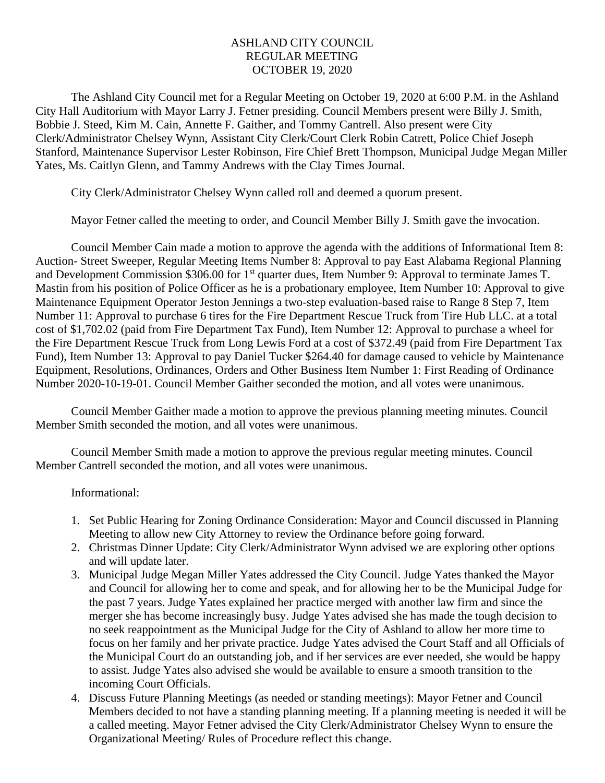# ASHLAND CITY COUNCIL REGULAR MEETING OCTOBER 19, 2020

The Ashland City Council met for a Regular Meeting on October 19, 2020 at 6:00 P.M. in the Ashland City Hall Auditorium with Mayor Larry J. Fetner presiding. Council Members present were Billy J. Smith, Bobbie J. Steed, Kim M. Cain, Annette F. Gaither, and Tommy Cantrell. Also present were City Clerk/Administrator Chelsey Wynn, Assistant City Clerk/Court Clerk Robin Catrett, Police Chief Joseph Stanford, Maintenance Supervisor Lester Robinson, Fire Chief Brett Thompson, Municipal Judge Megan Miller Yates, Ms. Caitlyn Glenn, and Tammy Andrews with the Clay Times Journal.

City Clerk/Administrator Chelsey Wynn called roll and deemed a quorum present.

Mayor Fetner called the meeting to order, and Council Member Billy J. Smith gave the invocation.

Council Member Cain made a motion to approve the agenda with the additions of Informational Item 8: Auction- Street Sweeper, Regular Meeting Items Number 8: Approval to pay East Alabama Regional Planning and Development Commission \$306.00 for 1<sup>st</sup> quarter dues, Item Number 9: Approval to terminate James T. Mastin from his position of Police Officer as he is a probationary employee, Item Number 10: Approval to give Maintenance Equipment Operator Jeston Jennings a two-step evaluation-based raise to Range 8 Step 7, Item Number 11: Approval to purchase 6 tires for the Fire Department Rescue Truck from Tire Hub LLC. at a total cost of \$1,702.02 (paid from Fire Department Tax Fund), Item Number 12: Approval to purchase a wheel for the Fire Department Rescue Truck from Long Lewis Ford at a cost of \$372.49 (paid from Fire Department Tax Fund), Item Number 13: Approval to pay Daniel Tucker \$264.40 for damage caused to vehicle by Maintenance Equipment, Resolutions, Ordinances, Orders and Other Business Item Number 1: First Reading of Ordinance Number 2020-10-19-01. Council Member Gaither seconded the motion, and all votes were unanimous.

Council Member Gaither made a motion to approve the previous planning meeting minutes. Council Member Smith seconded the motion, and all votes were unanimous.

Council Member Smith made a motion to approve the previous regular meeting minutes. Council Member Cantrell seconded the motion, and all votes were unanimous.

#### Informational:

- 1. Set Public Hearing for Zoning Ordinance Consideration: Mayor and Council discussed in Planning Meeting to allow new City Attorney to review the Ordinance before going forward.
- 2. Christmas Dinner Update: City Clerk/Administrator Wynn advised we are exploring other options and will update later.
- 3. Municipal Judge Megan Miller Yates addressed the City Council. Judge Yates thanked the Mayor and Council for allowing her to come and speak, and for allowing her to be the Municipal Judge for the past 7 years. Judge Yates explained her practice merged with another law firm and since the merger she has become increasingly busy. Judge Yates advised she has made the tough decision to no seek reappointment as the Municipal Judge for the City of Ashland to allow her more time to focus on her family and her private practice. Judge Yates advised the Court Staff and all Officials of the Municipal Court do an outstanding job, and if her services are ever needed, she would be happy to assist. Judge Yates also advised she would be available to ensure a smooth transition to the incoming Court Officials.
- 4. Discuss Future Planning Meetings (as needed or standing meetings): Mayor Fetner and Council Members decided to not have a standing planning meeting. If a planning meeting is needed it will be a called meeting. Mayor Fetner advised the City Clerk/Administrator Chelsey Wynn to ensure the Organizational Meeting/ Rules of Procedure reflect this change.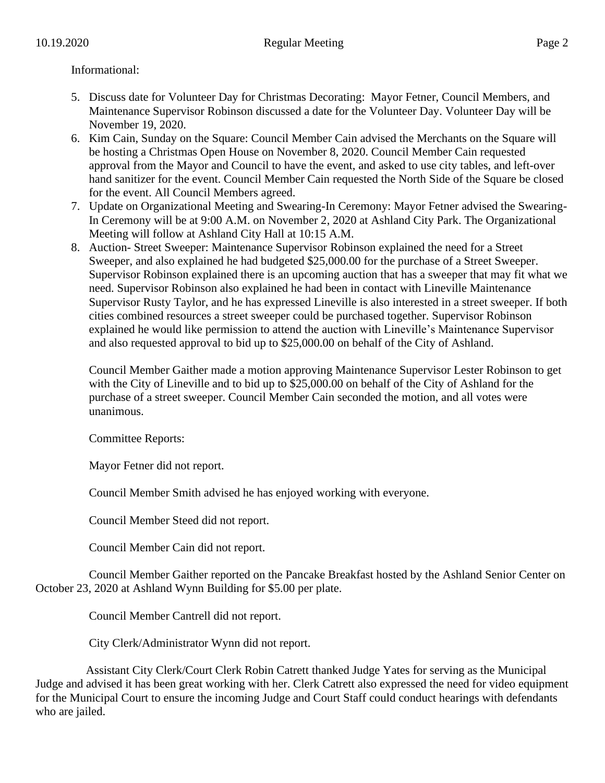## Informational:

- 5. Discuss date for Volunteer Day for Christmas Decorating: Mayor Fetner, Council Members, and Maintenance Supervisor Robinson discussed a date for the Volunteer Day. Volunteer Day will be November 19, 2020.
- 6. Kim Cain, Sunday on the Square: Council Member Cain advised the Merchants on the Square will be hosting a Christmas Open House on November 8, 2020. Council Member Cain requested approval from the Mayor and Council to have the event, and asked to use city tables, and left-over hand sanitizer for the event. Council Member Cain requested the North Side of the Square be closed for the event. All Council Members agreed.
- 7. Update on Organizational Meeting and Swearing-In Ceremony: Mayor Fetner advised the Swearing-In Ceremony will be at 9:00 A.M. on November 2, 2020 at Ashland City Park. The Organizational Meeting will follow at Ashland City Hall at 10:15 A.M.
- 8. Auction- Street Sweeper: Maintenance Supervisor Robinson explained the need for a Street Sweeper, and also explained he had budgeted \$25,000.00 for the purchase of a Street Sweeper. Supervisor Robinson explained there is an upcoming auction that has a sweeper that may fit what we need. Supervisor Robinson also explained he had been in contact with Lineville Maintenance Supervisor Rusty Taylor, and he has expressed Lineville is also interested in a street sweeper. If both cities combined resources a street sweeper could be purchased together. Supervisor Robinson explained he would like permission to attend the auction with Lineville's Maintenance Supervisor and also requested approval to bid up to \$25,000.00 on behalf of the City of Ashland.

Council Member Gaither made a motion approving Maintenance Supervisor Lester Robinson to get with the City of Lineville and to bid up to \$25,000.00 on behalf of the City of Ashland for the purchase of a street sweeper. Council Member Cain seconded the motion, and all votes were unanimous.

Committee Reports:

Mayor Fetner did not report.

Council Member Smith advised he has enjoyed working with everyone.

Council Member Steed did not report.

Council Member Cain did not report.

Council Member Gaither reported on the Pancake Breakfast hosted by the Ashland Senior Center on October 23, 2020 at Ashland Wynn Building for \$5.00 per plate.

Council Member Cantrell did not report.

City Clerk/Administrator Wynn did not report.

 Assistant City Clerk/Court Clerk Robin Catrett thanked Judge Yates for serving as the Municipal Judge and advised it has been great working with her. Clerk Catrett also expressed the need for video equipment for the Municipal Court to ensure the incoming Judge and Court Staff could conduct hearings with defendants who are jailed.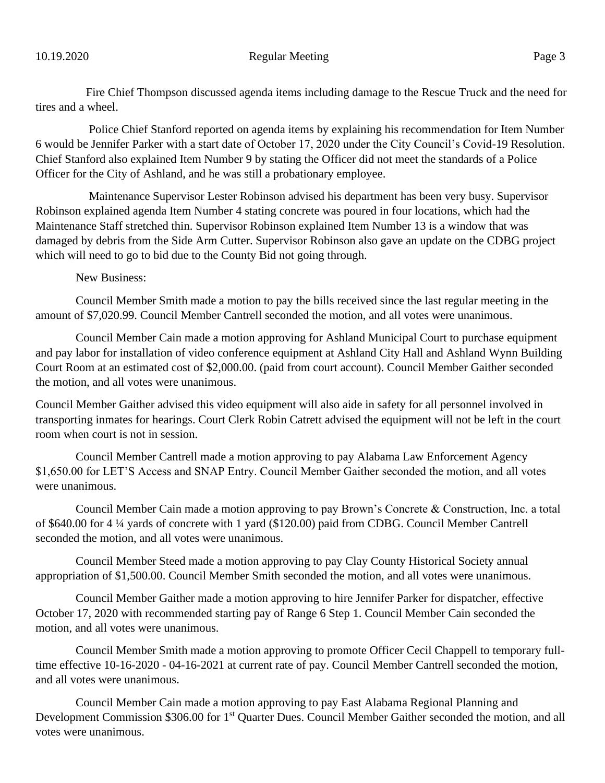Fire Chief Thompson discussed agenda items including damage to the Rescue Truck and the need for tires and a wheel.

Police Chief Stanford reported on agenda items by explaining his recommendation for Item Number 6 would be Jennifer Parker with a start date of October 17, 2020 under the City Council's Covid-19 Resolution. Chief Stanford also explained Item Number 9 by stating the Officer did not meet the standards of a Police Officer for the City of Ashland, and he was still a probationary employee.

Maintenance Supervisor Lester Robinson advised his department has been very busy. Supervisor Robinson explained agenda Item Number 4 stating concrete was poured in four locations, which had the Maintenance Staff stretched thin. Supervisor Robinson explained Item Number 13 is a window that was damaged by debris from the Side Arm Cutter. Supervisor Robinson also gave an update on the CDBG project which will need to go to bid due to the County Bid not going through.

New Business:

Council Member Smith made a motion to pay the bills received since the last regular meeting in the amount of \$7,020.99. Council Member Cantrell seconded the motion, and all votes were unanimous.

Council Member Cain made a motion approving for Ashland Municipal Court to purchase equipment and pay labor for installation of video conference equipment at Ashland City Hall and Ashland Wynn Building Court Room at an estimated cost of \$2,000.00. (paid from court account). Council Member Gaither seconded the motion, and all votes were unanimous.

Council Member Gaither advised this video equipment will also aide in safety for all personnel involved in transporting inmates for hearings. Court Clerk Robin Catrett advised the equipment will not be left in the court room when court is not in session.

Council Member Cantrell made a motion approving to pay Alabama Law Enforcement Agency \$1,650.00 for LET'S Access and SNAP Entry. Council Member Gaither seconded the motion, and all votes were unanimous.

Council Member Cain made a motion approving to pay Brown's Concrete & Construction, Inc. a total of \$640.00 for 4 ¼ yards of concrete with 1 yard (\$120.00) paid from CDBG. Council Member Cantrell seconded the motion, and all votes were unanimous.

Council Member Steed made a motion approving to pay Clay County Historical Society annual appropriation of \$1,500.00. Council Member Smith seconded the motion, and all votes were unanimous.

Council Member Gaither made a motion approving to hire Jennifer Parker for dispatcher, effective October 17, 2020 with recommended starting pay of Range 6 Step 1. Council Member Cain seconded the motion, and all votes were unanimous.

Council Member Smith made a motion approving to promote Officer Cecil Chappell to temporary fulltime effective 10-16-2020 - 04-16-2021 at current rate of pay. Council Member Cantrell seconded the motion, and all votes were unanimous.

Council Member Cain made a motion approving to pay East Alabama Regional Planning and Development Commission \$306.00 for 1<sup>st</sup> Quarter Dues. Council Member Gaither seconded the motion, and all votes were unanimous.